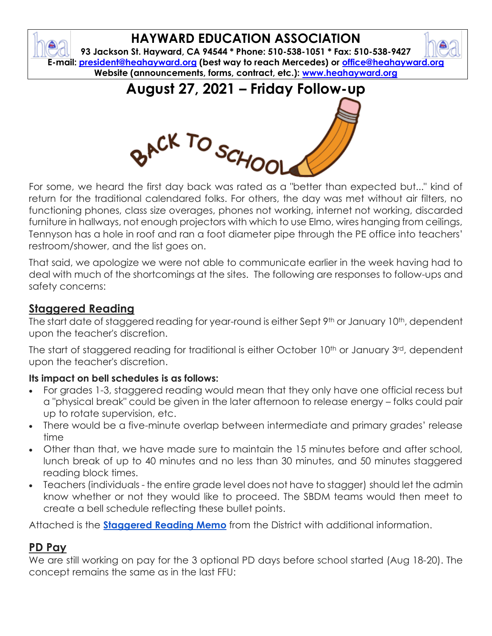# **HAYWARD EDUCATION ASSOCIATION**

**93 Jackson St. Hayward, CA 94544 \* Phone: 510-538-1051 \* Fax: 510-538-9427 E-mail: [president@heahayward.org](mailto:president@heahayward.org) (best way to reach Mercedes) or [office@heahayward.org](mailto:office@heahayward.org) Website (announcements, forms, contract, etc.): [www.heahayward.org](http://www.heahayward.org/)**

**August 27, 2021 – Friday Follow-up**



For some, we heard the first day back was rated as a "better than expected but..." kind of return for the traditional calendared folks. For others, the day was met without air filters, no functioning phones, class size overages, phones not working, internet not working, discarded furniture in hallways, not enough projectors with which to use Elmo, wires hanging from ceilings, Tennyson has a hole in roof and ran a foot diameter pipe through the PE office into teachers' restroom/shower, and the list goes on.

That said, we apologize we were not able to communicate earlier in the week having had to deal with much of the shortcomings at the sites. The following are responses to follow-ups and safety concerns:

#### **Staggered Reading**

The start date of staggered reading for year-round is either Sept 9<sup>th</sup> or January 10<sup>th</sup>, dependent upon the teacher's discretion.

The start of staggered reading for traditional is either October 10<sup>th</sup> or January 3<sup>rd</sup>, dependent upon the teacher's discretion.

#### **Its impact on bell schedules is as follows:**

- For grades 1-3, staggered reading would mean that they only have one official recess but a "physical break" could be given in the later afternoon to release energy – folks could pair up to rotate supervision, etc.
- There would be a five-minute overlap between intermediate and primary grades' release time
- Other than that, we have made sure to maintain the 15 minutes before and after school, lunch break of up to 40 minutes and no less than 30 minutes, and 50 minutes staggered reading block times.
- Teachers (individuals the entire grade level does not have to stagger) should let the admin know whether or not they would like to proceed. The SBDM teams would then meet to create a bell schedule reflecting these bullet points.

Attached is the **[Staggered Reading Memo](https://drive.google.com/file/d/1mPRKx2xzf98cF0HQgBiDjOftMnf1pvLv/view?usp=sharing)** from the District with additional information.

#### **PD Pay**

We are still working on pay for the 3 optional PD days before school started (Aug 18-20). The concept remains the same as in the last FFU: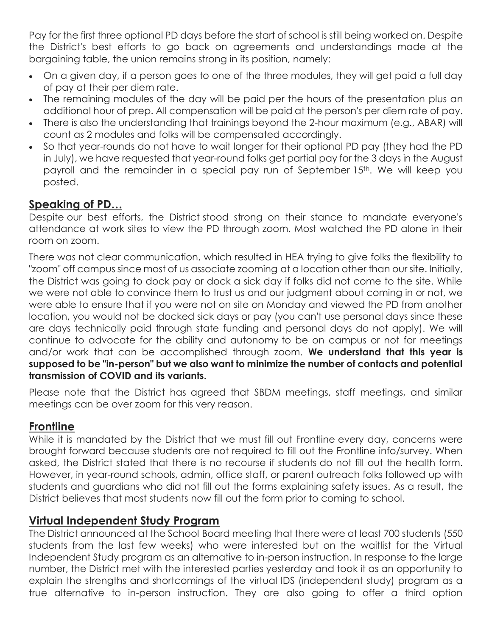Pay for the first three optional PD days before the start of school is still being worked on. Despite the District's best efforts to go back on agreements and understandings made at the bargaining table, the union remains strong in its position, namely:

- On a given day, if a person goes to one of the three modules, they will get paid a full day of pay at their per diem rate.
- The remaining modules of the day will be paid per the hours of the presentation plus an additional hour of prep. All compensation will be paid at the person's per diem rate of pay.
- There is also the understanding that trainings beyond the 2-hour maximum (e.g., ABAR) will count as 2 modules and folks will be compensated accordingly.
- So that year-rounds do not have to wait longer for their optional PD pay (they had the PD in July), we have requested that year-round folks get partial pay for the 3 days in the August payroll and the remainder in a special pay run of September 15<sup>th</sup>. We will keep you posted.

#### **Speaking of PD…**

Despite our best efforts, the District stood strong on their stance to mandate everyone's attendance at work sites to view the PD through zoom. Most watched the PD alone in their room on zoom.

There was not clear communication, which resulted in HEA trying to give folks the flexibility to "zoom" off campus since most of us associate zooming at a location other than our site. Initially, the District was going to dock pay or dock a sick day if folks did not come to the site. While we were not able to convince them to trust us and our judgment about coming in or not, we were able to ensure that if you were not on site on Monday and viewed the PD from another location, you would not be docked sick days or pay (you can't use personal days since these are days technically paid through state funding and personal days do not apply). We will continue to advocate for the ability and autonomy to be on campus or not for meetings and/or work that can be accomplished through zoom. **We understand that this year is supposed to be "in-person" but we also want to minimize the number of contacts and potential transmission of COVID and its variants.**

Please note that the District has agreed that SBDM meetings, staff meetings, and similar meetings can be over zoom for this very reason.

## **Frontline**

While it is mandated by the District that we must fill out Frontline every day, concerns were brought forward because students are not required to fill out the Frontline info/survey. When asked, the District stated that there is no recourse if students do not fill out the health form. However, in year-round schools, admin, office staff, or parent outreach folks followed up with students and guardians who did not fill out the forms explaining safety issues. As a result, the District believes that most students now fill out the form prior to coming to school.

#### **Virtual Independent Study Program**

The District announced at the School Board meeting that there were at least 700 students (550 students from the last few weeks) who were interested but on the waitlist for the Virtual Independent Study program as an alternative to in-person instruction. In response to the large number, the District met with the interested parties yesterday and took it as an opportunity to explain the strengths and shortcomings of the virtual IDS (independent study) program as a true alternative to in-person instruction. They are also going to offer a third option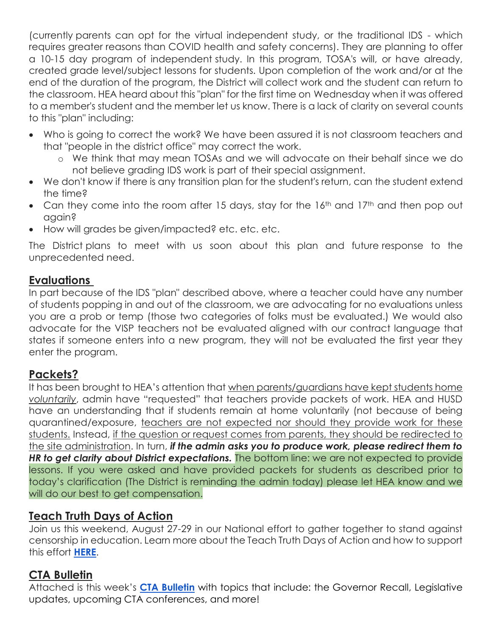(currently parents can opt for the virtual independent study, or the traditional IDS - which requires greater reasons than COVID health and safety concerns). They are planning to offer a 10-15 day program of independent study. In this program, TOSA's will, or have already, created grade level/subject lessons for students. Upon completion of the work and/or at the end of the duration of the program, the District will collect work and the student can return to the classroom. HEA heard about this "plan" for the first time on Wednesday when it was offered to a member's student and the member let us know. There is a lack of clarity on several counts to this "plan" including:

- Who is going to correct the work? We have been assured it is not classroom teachers and that "people in the district office" may correct the work.
	- o We think that may mean TOSAs and we will advocate on their behalf since we do not believe grading IDS work is part of their special assignment.
- We don't know if there is any transition plan for the student's return, can the student extend the time?
- Can they come into the room after 15 days, stay for the 16<sup>th</sup> and 17<sup>th</sup> and then pop out again?
- How will grades be given/impacted? etc. etc. etc.

The District plans to meet with us soon about this plan and future response to the unprecedented need.

#### **Evaluations**

In part because of the IDS "plan" described above, where a teacher could have any number of students popping in and out of the classroom, we are advocating for no evaluations unless you are a prob or temp (those two categories of folks must be evaluated.) We would also advocate for the VISP teachers not be evaluated aligned with our contract language that states if someone enters into a new program, they will not be evaluated the first year they enter the program.

## **Packets?**

It has been brought to HEA's attention that when parents/guardians have kept students home *voluntarily*, admin have "requested" that teachers provide packets of work. HEA and HUSD have an understanding that if students remain at home voluntarily (not because of being quarantined/exposure, teachers are not expected nor should they provide work for these students. Instead, if the question or request comes from parents, they should be redirected to the site administration. In turn, *if the admin asks you to produce work, please redirect them to HR to get clarity about District expectations.* The bottom line: we are not expected to provide lessons. If you were asked and have provided packets for students as described prior to today's clarification (The District is reminding the admin today) please let HEA know and we will do our best to get compensation.

#### **Teach Truth Days of Action**

Join us this weekend, August 27-29 in our National effort to gather together to stand against censorship in education. Learn more about the Teach Truth Days of Action and how to support this effort **[HERE](https://drive.google.com/file/d/1hykrH-O7hlHkjxAZSrthz3Wjyj4mZo0G/view?usp=sharing)**.

#### **CTA Bulletin**

Attached is this week's **[CTA Bulletin](http://view.cta-mailings.org/?qs=232ce7f28dfd0a180d40b86f34c4596a2bc8e710412fecbd68671974c808ede1ed691ec29dbc9e0560a4e26bbefb9ef9940fed78c1e4b9cce96e1e05c3cc5737f53647b157d4b9a0720e1b03c0ac857a0b3aa1c9aa735abe)** with topics that include: the Governor Recall, Legislative updates, upcoming CTA conferences, and more!